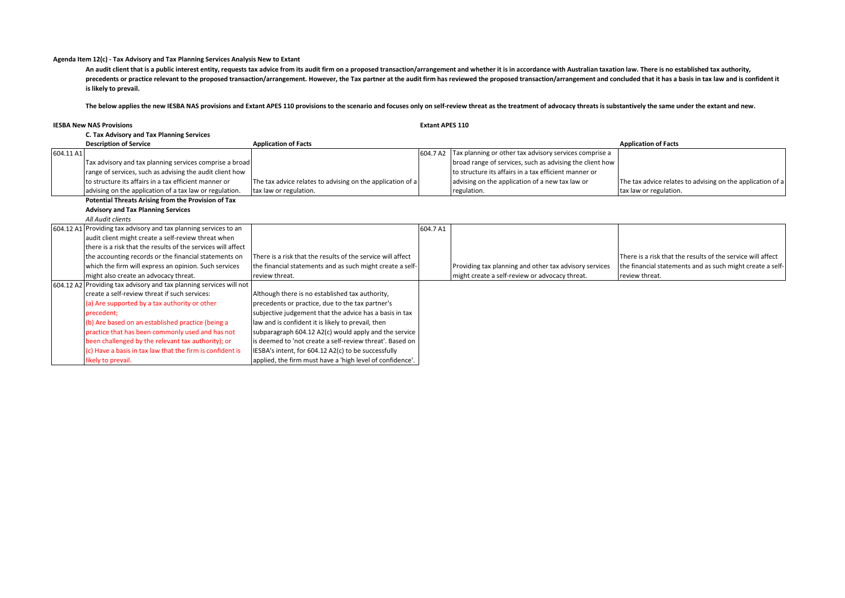## **Agenda Item 12(c) - Tax Advisory and Tax Planning Services Analysis New to Extant**

An audit client that is a public interest entity, requests tax advice from its audit firm on a proposed transaction/arrangement and whether it is in accordance with Australian taxation law. There is no established tax auth precedents or practice relevant to the proposed transaction/arrangement. However, the Tax partner at the audit firm has reviewed the proposed transaction/arrangement and concluded that it has a basis in tax law and is conf **is likely to prevail.**

The below applies the new IESBA NAS provisions and Extant APES 110 provisions to the scenario and focuses only on self-review threat as the treatment of advocacy threats is substantively the same under the extant and new.

| <b>IESBA New NAS Provisions</b> |                                                                     | <b>Extant APES 110</b>                                      |          |                                                          |                                                             |
|---------------------------------|---------------------------------------------------------------------|-------------------------------------------------------------|----------|----------------------------------------------------------|-------------------------------------------------------------|
|                                 | C. Tax Advisory and Tax Planning Services                           |                                                             |          |                                                          |                                                             |
|                                 | <b>Description of Service</b>                                       | <b>Application of Facts</b>                                 |          |                                                          | <b>Application of Facts</b>                                 |
| 604.11 A1                       |                                                                     |                                                             | 604.7 A2 | Tax planning or other tax advisory services comprise a   |                                                             |
|                                 | Tax advisory and tax planning services comprise a broad             |                                                             |          | broad range of services, such as advising the client how |                                                             |
|                                 | range of services, such as advising the audit client how            |                                                             |          | to structure its affairs in a tax efficient manner or    |                                                             |
|                                 | to structure its affairs in a tax efficient manner or               | The tax advice relates to advising on the application of a  |          | advising on the application of a new tax law or          | The tax advice relates to advising on the application of a  |
|                                 | advising on the application of a tax law or regulation.             | tax law or regulation.                                      |          | regulation.                                              | tax law or regulation.                                      |
|                                 | Potential Threats Arising from the Provision of Tax                 |                                                             |          |                                                          |                                                             |
|                                 | <b>Advisory and Tax Planning Services</b>                           |                                                             |          |                                                          |                                                             |
|                                 | All Audit clients                                                   |                                                             |          |                                                          |                                                             |
|                                 | 604.12 A1 Providing tax advisory and tax planning services to an    |                                                             | 604.7 A1 |                                                          |                                                             |
|                                 | audit client might create a self-review threat when                 |                                                             |          |                                                          |                                                             |
|                                 | there is a risk that the results of the services will affect        |                                                             |          |                                                          |                                                             |
|                                 | the accounting records or the financial statements on               | There is a risk that the results of the service will affect |          |                                                          | There is a risk that the results of the service will affect |
|                                 | which the firm will express an opinion. Such services               | the financial statements and as such might create a self-   |          | Providing tax planning and other tax advisory services   | the financial statements and as such might create a self-   |
|                                 | might also create an advocacy threat.                               | review threat.                                              |          | might create a self-review or advocacy threat.           | review threat.                                              |
|                                 | 604.12 A2 Providing tax advisory and tax planning services will not |                                                             |          |                                                          |                                                             |
|                                 | create a self-review threat if such services:                       | Although there is no established tax authority,             |          |                                                          |                                                             |
|                                 | (a) Are supported by a tax authority or other                       | precedents or practice, due to the tax partner's            |          |                                                          |                                                             |
|                                 | precedent:                                                          | subjective judgement that the advice has a basis in tax     |          |                                                          |                                                             |
|                                 | (b) Are based on an established practice (being a                   | law and is confident it is likely to prevail, then          |          |                                                          |                                                             |
|                                 | practice that has been commonly used and has not                    | subparagraph 604.12 A2(c) would apply and the service       |          |                                                          |                                                             |
|                                 | been challenged by the relevant tax authority); or                  | is deemed to 'not create a self-review threat'. Based on    |          |                                                          |                                                             |
|                                 | (c) Have a basis in tax law that the firm is confident is           | IESBA's intent, for 604.12 A2(c) to be successfully         |          |                                                          |                                                             |
|                                 | likely to prevail.                                                  | applied, the firm must have a 'high level of confidence'.   |          |                                                          |                                                             |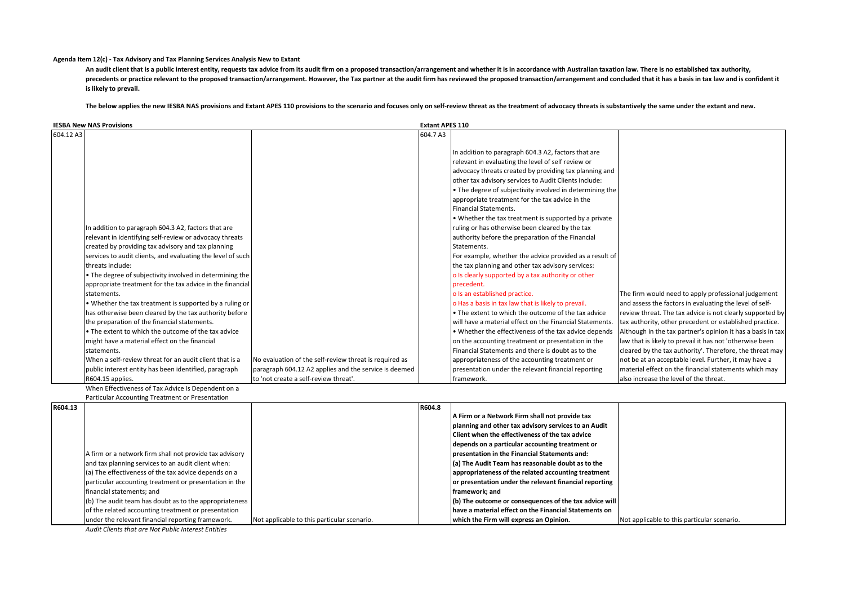## **Agenda Item 12(c) - Tax Advisory and Tax Planning Services Analysis New to Extant**

An audit client that is a public interest entity, requests tax advice from its audit firm on a proposed transaction/arrangement and whether it is in accordance with Australian taxation law. There is no established tax auth precedents or practice relevant to the proposed transaction/arrangement. However, the Tax partner at the audit firm has reviewed the proposed transaction/arrangement and concluded that it has a basis in tax law and is conf **is likely to prevail.**

The below applies the new IESBA NAS provisions and Extant APES 110 provisions to the scenario and focuses only on self-review threat as the treatment of advocacy threats is substantively the same under the extant and new.

| 604.12 A3<br>604.7 A3<br>In addition to paragraph 604.3 A2, factors that are<br>relevant in evaluating the level of self review or<br>advocacy threats created by providing tax planning and<br>other tax advisory services to Audit Clients include:<br>• The degree of subjectivity involved in determining the<br>appropriate treatment for the tax advice in the<br>Financial Statements.<br>• Whether the tax treatment is supported by a private<br>In addition to paragraph 604.3 A2, factors that are<br>ruling or has otherwise been cleared by the tax<br>relevant in identifying self-review or advocacy threats<br>authority before the preparation of the Financial<br>created by providing tax advisory and tax planning<br>Statements.<br>services to audit clients, and evaluating the level of such<br>For example, whether the advice provided as a result of<br>threats include:<br>the tax planning and other tax advisory services:<br>. The degree of subjectivity involved in determining the<br>o Is clearly supported by a tax authority or other<br>appropriate treatment for the tax advice in the financial<br>precedent.<br>o Is an established practice.<br>The firm would need to apply professional judgement<br>statements.<br>. Whether the tax treatment is supported by a ruling or<br>o Has a basis in tax law that is likely to prevail.<br>and assess the factors in evaluating the level of self- | <b>Extant APES 110</b> |  |  |
|-------------------------------------------------------------------------------------------------------------------------------------------------------------------------------------------------------------------------------------------------------------------------------------------------------------------------------------------------------------------------------------------------------------------------------------------------------------------------------------------------------------------------------------------------------------------------------------------------------------------------------------------------------------------------------------------------------------------------------------------------------------------------------------------------------------------------------------------------------------------------------------------------------------------------------------------------------------------------------------------------------------------------------------------------------------------------------------------------------------------------------------------------------------------------------------------------------------------------------------------------------------------------------------------------------------------------------------------------------------------------------------------------------------------------------------------|------------------------|--|--|
|                                                                                                                                                                                                                                                                                                                                                                                                                                                                                                                                                                                                                                                                                                                                                                                                                                                                                                                                                                                                                                                                                                                                                                                                                                                                                                                                                                                                                                           |                        |  |  |
|                                                                                                                                                                                                                                                                                                                                                                                                                                                                                                                                                                                                                                                                                                                                                                                                                                                                                                                                                                                                                                                                                                                                                                                                                                                                                                                                                                                                                                           |                        |  |  |
|                                                                                                                                                                                                                                                                                                                                                                                                                                                                                                                                                                                                                                                                                                                                                                                                                                                                                                                                                                                                                                                                                                                                                                                                                                                                                                                                                                                                                                           |                        |  |  |
|                                                                                                                                                                                                                                                                                                                                                                                                                                                                                                                                                                                                                                                                                                                                                                                                                                                                                                                                                                                                                                                                                                                                                                                                                                                                                                                                                                                                                                           |                        |  |  |
|                                                                                                                                                                                                                                                                                                                                                                                                                                                                                                                                                                                                                                                                                                                                                                                                                                                                                                                                                                                                                                                                                                                                                                                                                                                                                                                                                                                                                                           |                        |  |  |
|                                                                                                                                                                                                                                                                                                                                                                                                                                                                                                                                                                                                                                                                                                                                                                                                                                                                                                                                                                                                                                                                                                                                                                                                                                                                                                                                                                                                                                           |                        |  |  |
|                                                                                                                                                                                                                                                                                                                                                                                                                                                                                                                                                                                                                                                                                                                                                                                                                                                                                                                                                                                                                                                                                                                                                                                                                                                                                                                                                                                                                                           |                        |  |  |
|                                                                                                                                                                                                                                                                                                                                                                                                                                                                                                                                                                                                                                                                                                                                                                                                                                                                                                                                                                                                                                                                                                                                                                                                                                                                                                                                                                                                                                           |                        |  |  |
|                                                                                                                                                                                                                                                                                                                                                                                                                                                                                                                                                                                                                                                                                                                                                                                                                                                                                                                                                                                                                                                                                                                                                                                                                                                                                                                                                                                                                                           |                        |  |  |
|                                                                                                                                                                                                                                                                                                                                                                                                                                                                                                                                                                                                                                                                                                                                                                                                                                                                                                                                                                                                                                                                                                                                                                                                                                                                                                                                                                                                                                           |                        |  |  |
|                                                                                                                                                                                                                                                                                                                                                                                                                                                                                                                                                                                                                                                                                                                                                                                                                                                                                                                                                                                                                                                                                                                                                                                                                                                                                                                                                                                                                                           |                        |  |  |
|                                                                                                                                                                                                                                                                                                                                                                                                                                                                                                                                                                                                                                                                                                                                                                                                                                                                                                                                                                                                                                                                                                                                                                                                                                                                                                                                                                                                                                           |                        |  |  |
|                                                                                                                                                                                                                                                                                                                                                                                                                                                                                                                                                                                                                                                                                                                                                                                                                                                                                                                                                                                                                                                                                                                                                                                                                                                                                                                                                                                                                                           |                        |  |  |
|                                                                                                                                                                                                                                                                                                                                                                                                                                                                                                                                                                                                                                                                                                                                                                                                                                                                                                                                                                                                                                                                                                                                                                                                                                                                                                                                                                                                                                           |                        |  |  |
|                                                                                                                                                                                                                                                                                                                                                                                                                                                                                                                                                                                                                                                                                                                                                                                                                                                                                                                                                                                                                                                                                                                                                                                                                                                                                                                                                                                                                                           |                        |  |  |
|                                                                                                                                                                                                                                                                                                                                                                                                                                                                                                                                                                                                                                                                                                                                                                                                                                                                                                                                                                                                                                                                                                                                                                                                                                                                                                                                                                                                                                           |                        |  |  |
|                                                                                                                                                                                                                                                                                                                                                                                                                                                                                                                                                                                                                                                                                                                                                                                                                                                                                                                                                                                                                                                                                                                                                                                                                                                                                                                                                                                                                                           |                        |  |  |
|                                                                                                                                                                                                                                                                                                                                                                                                                                                                                                                                                                                                                                                                                                                                                                                                                                                                                                                                                                                                                                                                                                                                                                                                                                                                                                                                                                                                                                           |                        |  |  |
|                                                                                                                                                                                                                                                                                                                                                                                                                                                                                                                                                                                                                                                                                                                                                                                                                                                                                                                                                                                                                                                                                                                                                                                                                                                                                                                                                                                                                                           |                        |  |  |
| has otherwise been cleared by the tax authority before<br>. The extent to which the outcome of the tax advice<br>review threat. The tax advice is not clearly supported by                                                                                                                                                                                                                                                                                                                                                                                                                                                                                                                                                                                                                                                                                                                                                                                                                                                                                                                                                                                                                                                                                                                                                                                                                                                                |                        |  |  |
| will have a material effect on the Financial Statements.<br>the preparation of the financial statements.<br>tax authority, other precedent or established practice.                                                                                                                                                                                                                                                                                                                                                                                                                                                                                                                                                                                                                                                                                                                                                                                                                                                                                                                                                                                                                                                                                                                                                                                                                                                                       |                        |  |  |
| • The extent to which the outcome of the tax advice<br>. Whether the effectiveness of the tax advice depends<br>Although in the tax partner's opinion it has a basis in tax                                                                                                                                                                                                                                                                                                                                                                                                                                                                                                                                                                                                                                                                                                                                                                                                                                                                                                                                                                                                                                                                                                                                                                                                                                                               |                        |  |  |
| law that is likely to prevail it has not 'otherwise been<br>might have a material effect on the financial<br>on the accounting treatment or presentation in the                                                                                                                                                                                                                                                                                                                                                                                                                                                                                                                                                                                                                                                                                                                                                                                                                                                                                                                                                                                                                                                                                                                                                                                                                                                                           |                        |  |  |
| Financial Statements and there is doubt as to the<br>cleared by the tax authority'. Therefore, the threat may<br>statements.                                                                                                                                                                                                                                                                                                                                                                                                                                                                                                                                                                                                                                                                                                                                                                                                                                                                                                                                                                                                                                                                                                                                                                                                                                                                                                              |                        |  |  |
| not be at an acceptable level. Further, it may have a<br>When a self-review threat for an audit client that is a<br>No evaluation of the self-review threat is required as<br>appropriateness of the accounting treatment or                                                                                                                                                                                                                                                                                                                                                                                                                                                                                                                                                                                                                                                                                                                                                                                                                                                                                                                                                                                                                                                                                                                                                                                                              |                        |  |  |
| public interest entity has been identified, paragraph<br>paragraph 604.12 A2 applies and the service is deemed<br>material effect on the financial statements which may<br>presentation under the relevant financial reporting                                                                                                                                                                                                                                                                                                                                                                                                                                                                                                                                                                                                                                                                                                                                                                                                                                                                                                                                                                                                                                                                                                                                                                                                            |                        |  |  |
| to 'not create a self-review threat'.<br>R604.15 applies.<br>lalso increase the level of the threat.<br>framework.                                                                                                                                                                                                                                                                                                                                                                                                                                                                                                                                                                                                                                                                                                                                                                                                                                                                                                                                                                                                                                                                                                                                                                                                                                                                                                                        |                        |  |  |

When Effectiveness of Tax Advice Is Dependent on a Particular Accounting Treatment or Presentation

| R604.13 |                                                         |                                             | R604.8 |                                                        |                                             |
|---------|---------------------------------------------------------|---------------------------------------------|--------|--------------------------------------------------------|---------------------------------------------|
|         |                                                         |                                             |        | A Firm or a Network Firm shall not provide tax         |                                             |
|         |                                                         |                                             |        | planning and other tax advisory services to an Audit   |                                             |
|         |                                                         |                                             |        | <b>Client when the effectiveness of the tax advice</b> |                                             |
|         |                                                         |                                             |        | depends on a particular accounting treatment or        |                                             |
|         | A firm or a network firm shall not provide tax advisory |                                             |        | presentation in the Financial Statements and:          |                                             |
|         | and tax planning services to an audit client when:      |                                             |        | (a) The Audit Team has reasonable doubt as to the      |                                             |
|         | (a) The effectiveness of the tax advice depends on a    |                                             |        | appropriateness of the related accounting treatment    |                                             |
|         | particular accounting treatment or presentation in the  |                                             |        | or presentation under the relevant financial reporting |                                             |
|         | financial statements; and                               |                                             |        | framework: and                                         |                                             |
|         | (b) The audit team has doubt as to the appropriateness  |                                             |        | (b) The outcome or consequences of the tax advice will |                                             |
|         | of the related accounting treatment or presentation     |                                             |        | have a material effect on the Financial Statements on  |                                             |
|         | under the relevant financial reporting framework.       | Not applicable to this particular scenario. |        | which the Firm will express an Opinion.                | Not applicable to this particular scenario. |
|         | Audit Clients that are Not Public Interest Entities     |                                             |        |                                                        |                                             |

*Audit Clients that are Not Public Interest Entities*